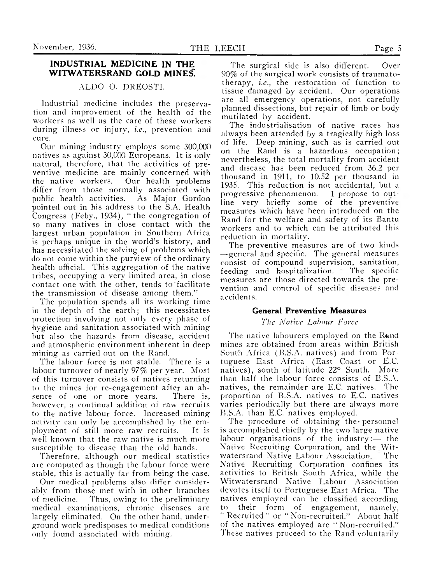# **INDUSTRIAL MEDICINE IN THE** WITWATERSRAND GOLD MINES.

# ALDO O. DREOSTI.

Industrial medicine includes the preservation and improvement of the health of the workers as well as the care of these workers during illness or injury, *i.e.,* prevention and cure.

Our mining industry employs some 300,000 natives as against 30,000 Europeans. It is only natural, therefore, that the activities of preventive medicine are mainly concerned with the native workers. Our health problems differ from those normally associated with<br>public health activities. As Major Gordon public health activities. pointed out in his address to the S.A. Health Congress (Feby., 1934), " the congregation of so many natives in close contact with the largest urban population in Southern Africa is perhaps unique in the world's history, and has necessitated the solving of problems which do not come within the purview of the ordinary health official. This aggregation of the native tribes, occupying a very limited area, in close contact one with the other, tends to'facilitate the transmission of disease among them."

The population spends all its working time in the depth of the earth; this necessitates protection involving not only every phase of hygiene and sanitation associated with mining but also the hazards from disease, accident and atmospheric environment inherent in deep mining as carried out on the Rand.

The labour force is not stable. There is a labour turnover of nearly 97% per year. Most of this turnover consists of natives returning to the mines for re-engagement after an absence of one or more years. There is, however, a continual addition of raw recruits to the native labour force. Increased mining activity can only be accomplished by the employment of still more raw recruits. It is well known that the raw native is much more susceptible to disease than the old hands.

Therefore, although our medical statistics are computed as though the labour force were stable, this is actually far from being the case.

Our medical problems also differ considerably from those met with in other branches of medicine. Thus, owing to the preliminary medical examinations, chronic diseases are largely eliminated. On the other hand, underground work predisposes to medical conditions only found associated with mining.

The surgical side is also different. Over 90% of the surgical work consists of traumatotherapy, *i.c.,* the restoration of function to tissue damaged by accident. Our operations are all emergency operations, not carefully planned dissections, but repair of limb or body mutilated by accident.

The industrialisation of native races has always been attended by a tragically high loss of life. Deep mining, such as is carried out on the Rand is a hazardous occupation ; nevertheless, the total mortality from accident and disease has been reduced from 36.2 per thousand in 1911, to 10.52 per thousand in 1935. This reduction is not accidental, but a progressive phenomenon. I propose to outline very briefly some of the preventive measures which have been introduced on the Rand for the welfare and safety of its Bantu workers and to which can be attributed this reduction in mortality.

The preventive measures are of two kinds —general and specific. The general measures consist of compound supervision, sanitation, feeding and hospitalization. The specific measures are those directed towards the prevention and control of specific diseases and accidents.

## **General Preventive Measures**

### *The Native Labour Force*

The native labourers employed on the Rand mines are obtained from areas within British South Africa (B.S.A. natives) and from Portuguese East Africa (East Coast or E.C. natives), south of latitude 22° South. More than half the labour force consists of B.S.A. natives, the remainder are E.C. natives. The proportion of B.S.A. natives to E.C. natives varies periodically but there are always more B.S.A. than E.C. natives employed.

The procedure of obtaining the personnel is accomplished chiefly by the two large native labour organisations of the industry:— the Native Recruiting Corporation, and the Witwatersrand Native Labour Association. The Native Recruiting Corporation confines its activities to British South Africa, while the Witwatersrand Native Labour Association devotes itself to Portuguese East Africa. The natives employed can be classified according to their form of engagement, namely, " Recruited " or " Non-recruited." About half of the natives employed are " Non-recruited." These natives proceed to the Rand voluntarily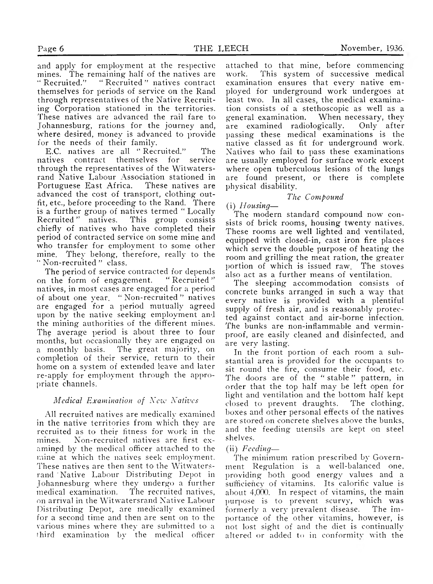and apply for employment at the respective mines. The remaining half of the natives are<br>"Recruited." "Recruited" natives contract " Recruited." " Recruited " natives contract themselves for periods of service on the Rand through representatives of the Native Recruiting Corporation stationed in the territories. These natives are advanced the rail fare to Johannesburg, rations for the journey and, where desired, money is advanced to provide for the needs of their family.

E.C. natives are all " Recruited." The natives contract themselves for service through the representatives of the Witwatersrand Native Labour Association stationed in Portuguese East Africa. These natives are advanced the cost of transport, clothing outfit, etc., before proceeding to the Rand. There is a further group of natives termed " Locally Recruited " natives. This group consists chiefly of natives who have completed their period of contracted service on some mine and who transfer for employment to some other mine. They belong, therefore, really to the " Non-recruited " class.

The period of service contracted for depends on the form of engagement. " Recruited " natives, in most cases are engaged for a period of about one year. " Non-recruited " natives are engaged for a period mutually agreed upon by the native seeking employment and the mining authorities of the different mines. The average period is about three to four months, but occasionally they are engaged on a monthly basis. The great majority, on completion of their service, return to their home on a system of extended leave and later re-apply for employment through the appropriate channels.

### *Medical Examination of New Natives*

All recruited natives are medically examined in the native territories from which they are recruited as to their fitness for work in the mines. Non-recruited natives are first examined by the medical officer attached to the mine at which the natives seek employment. These natives are then sent to the Witwatersrand ' Native Labour Distributing Depot in Johannesburg where they undergo a further medical examination. The recruited natives, on arrival in the Witwatersrand Native Labour Distributing Depot, are medically examined for a second time and then are sent on to the various mines where they are submitted to a third examination by the medical officer

attached to that mine, before commencing work. This system of successive medical examination ensures that every native employed for underground work undergoes at least two. In all cases, the medical examination consists of a stethoscopic as well as a general examination. When necessary, they are examined radiologically. Only after passing these medical examinations is the native classed as fit for underground work. Natives who fail to pass these examinations are usually employed for surface work except where open tuberculous lesions of the lungs are found present, or there is complete physical disability.

## *The Compound*

## (i) *H ousing—*

The modern standard compound now consists of brick rooms, housing twenty natives. These rooms are well lighted and ventilated, equipped with closed-in, cast iron fire places which serve the double purpose of heating the room and grilling the meat ration, the greater portion of which is issued raw. The stoves also act as a further means of ventilation.

The sleeping accommodation consists of concrete bunks arranged in such a way that every native is provided with a plentiful supply of fresh air, and is reasonably protected against contact and air-borne infection. The bunks are non-inflammable and verminproof, are easily cleaned and disinfected, and are very lasting.

In the front portion of each room a substantial area is provided for the occupants to sit round the fire, consume their food, etc. The doors are of the " stable " pattern, in order that the top half may be left open for light and ventilation and the bottom half kept closed to prevent draughts. The clothing, boxes and other personal effects of the natives are stored on concrete shelves above the bunks, and the feeding utensils are kept on steel shelves.

### (ii) *Feeding*—

The minimum ration prescribed by Government Regulation is a well-balanced one, providing both good energy values and a sufficiency of vitamins. Its calorific value is about 4,000. In respect of vitamins, the main purpose is to prevent scurvy, which was formerly a very prevalent disease. The importance of the other vitamins, however, is not lost sight of and the diet is continually altered or added to in conformity with the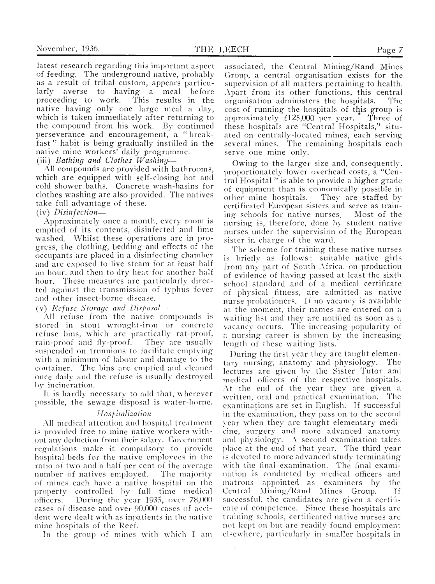latest research regarding this important aspect of feeding. The underground native, probably as a result of tribal custom, appears particularly averse to having a meal before<br>proceeding to work. This results in the This results in the native having only one large meal a day, which is taken immediately after returning to the compound from his work. By continued

fast " habit is being gradually instilled in the native mine workers' daily programme.

(iii) *Bathing and Clothes W ashing*—

All compounds are provided with bathrooms, which are equipped with self-closing hot and cold shower baths. Concrete wash-basins for clothes washing are also provided. The natives take full advantage of these.

perseverance and encouragement, a " break-

(iv) *Disinfection*—

Approximately once a month, every room is emptied of its contents, disinfected and lime washed. Whilst these operations are in progress, the clothing, bedding and effects of the occupants are placed in a disinfecting chamber and are exposed to live steam for at least half an hour, and then to dry heat for another half hour. These measures are particularly directed against the transmission of typhus fever and other insect-borne disease.

(v) *R efu se Storage and Disposal*—

All refuse from the native compounds is stored in stout wrought-iron or concrete refuse bins, which are practically rat-proof, rain-proof and fly-proof. They are usually suspended on trunnions to facilitate emptying with a minimum of labour and damage to the container. The bins are emptied and cleaned once daily and the refuse is usually destroyed by incineration.

It is hardly necessary to add that, wherever possible, the sewage disposal is water-borne.

### *H ospitalization*

All medical attention and hospital treatment is provided free to mine native workers without any deduction from their salary. Government regulations make it compulsory to provide hospital beds for the native employees in the ratio of two and a half per cent of the average number of natives employed. The majority of mines each have a native hospital on the property controlled by full time medical officers. During the year 1935, over 78,000 cases of disease and over 90,000 cases of accident were dealt with as inpatients in the native mine hospitals of the Reef.

In the group of mines with which I am

associated, the Central Mining/Rand Mines Group, a central organisation exists for the supervision of all matters pertaining to health. Apart from its other functions, this central organisation administers the hospitals. The cost of running the hospitals of this group is approximately £125,000 per year. Three of these hospitals are "Central Hospitals," situated on centrally-located mines, each serving several mines. The remaining hospitals each serve one mine only.

Owing to the larger size and, consequently, proportionately lower overhead costs, a "Central Hospital " is able to provide a higher grade of equipment than is economically possible in<br>other mine hospitals. They are staffed by other mine hospitals. certificated European sisters and serve as training schools for native nurses. Most of the nursing is, therefore, done by student native nurses under the supervision of the European sister in charge of the ward.

The scheme for training these native nurses is briefly as follows: suitable native girls from any part of South Africa, on production of evidence of having passed at least the sixth school standard and of a medical certificate of physical fitness, are admitted as native nurse probationers. If no vacancy is available at the moment, their names are entered on a waiting list and they are notified as soon as a vacancy occurs. The increasing popularity of a nursing career is shown by the increasinglength of these waiting lists.

During the first year they are taught elementary nursing, anatomy and physiology. The lectures are given by the Sister Tutor and medical officers of the respective hospitals. At the end of the year they are given a written, oral and practical examination. The examinations are set in English. If successful in the examination, they pass on to the second year when they are taught elementary medicine, surgery and more advanced anatomy and physiology. A second examination takes place at the end of that year. The third year is devoted to more advanced study terminating with the final examination. The final examination is conducted by medical officers and matrons appointed as examiners by the Central Mining/Rand Mines Group. If successful, the candidates are given a certificate of competence. Since these hospitals arc training schools, certificated native nurses are not kept on but are readily found employment elsewhere, particularly in smaller hospitals in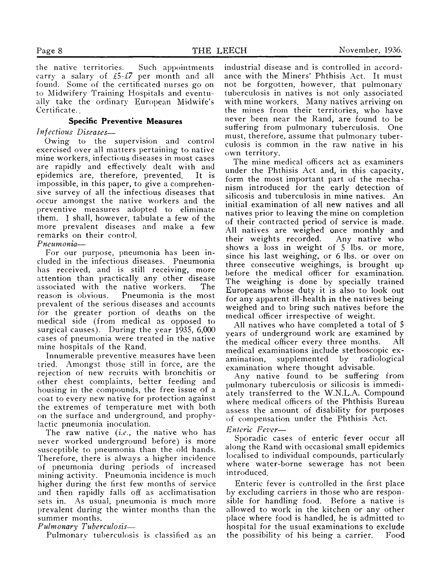the native territories. Such appointments carry a salary of £5*-£7* per month and all found. Some of the certificated nurses go on to Midwifery Training Hospitals and eventually take the ordinary European Midwife's Certificate. <sup>"</sup>

## **Specific Preventive Measures**

*Infectious Diseases*—

Owing to the supervision and control exercised over all matters pertaining to native mine workers, infectious diseases in most cases are rapidly and effectively dealt with and epidemics are, therefore, prevented. It is impossible, in this paper, to give a comprehensive survey of all the infectious diseases that occur amongst the native workers and the preventive measures adopted to eliminate them. I shall, however, tabulate a few of the more prevalent diseases and make a few remarks on their control.

*Pneum onia*—

For our purpose, pneumonia has been included in the infectious diseases. Pneumonia has received, and is still receiving, more attention than practically any other disease associated with the native workers. The reason is obvious. Pneumonia is the most prevalent of the serious diseases and accounts for the greater portion of deaths on the medical side (from medical as opposed to surgical causes). During the year 1935, 6,000 cases of pneumonia were treated in the native mine hospitals of the Rand.

Innumerable preventive measures have been tried. Amongst those still in force, are the rejection of new recruits with bronchitis or other chest complaints, better feeding and housing in the compounds, the free issue of a coat to every new native for protection against the extremes of temperature met with both on the surface and underground, and prophylactic pneumonia inoculation.

The raw native (*i.e*., the native who has never worked underground before) is more susceptible to pneumonia than the old hands. Therefore, there is always a higher incidence of pneumonia during periods of increased mining activity. Pneumonia incidence is much higher during the first few months of service and then rapidly falls off as acclimatisation sets in. As usual, pneumonia is much more prevalent during the winter months than the summer months.

*Pulm onary Tuberculosis*—

Pulmonarv tuberculosis is classified as an

industrial disease and is controlled in accordance with the Miners' Phthisis Act. It must not be forgotten, however, that pulmonary tuberculosis in natives is not only associated with mine workers. Many natives arriving on the mines from their territories, who have never been near the Rand, are found to be suffering from pulmonary tuberculosis. One must, therefore, assume that pulmonary tuberculosis is common in the raw native in his own territory.

The mine medical officers act as examiners under the Phthisis Act and, in this capacity, form the most important part of the mechanism introduced for the early detection of silicosis and tuberculosis in mine natives. An initial examination of all new natives and all natives prior to leaving the mine on completion of their contracted period of service is made. All natives are weighed once monthly and their weights recorded. Any native who shows a loss in weight of 5 lbs. or more, since his last weighing, or 6 lbs. or over on three consecutive weighings, is brought up before the medical officer for examination. The weighing is done by specially trained Europeans whose duty it is also to look out for any apparent ill-health in the natives being weighed and to bring such natives before the medical officer irrespective of weight.

All natives who have completed a total of 5 years of underground work are examined by the medical officer every three months. All medical examinations include stethoscopic examination, supplemented by radiological examination where thought advisable.

Any native found to be suffering from pulmonary tuberculosis or silicosis is immediately transferred to the W.N.L.A. Compound where medical officers of the Phthisis Bureau assess the amount of disability for purposes of compensation under the Phthisis Act.

## *Enteric F ever*—

Sporadic cases of enteric fever occur all along the Rand with occasional small epidemics localised to individual compounds, particularly where water-borne sewerage has not been introduced.

Enteric fever is controlled in the first place by excluding carriers in those who are responsible for handling food. Before a native is allowed to work in the kitchen or any other place where food is handled, he is admitted to hospital for the usual examinations to exclude the possibility of his being a carrier. Food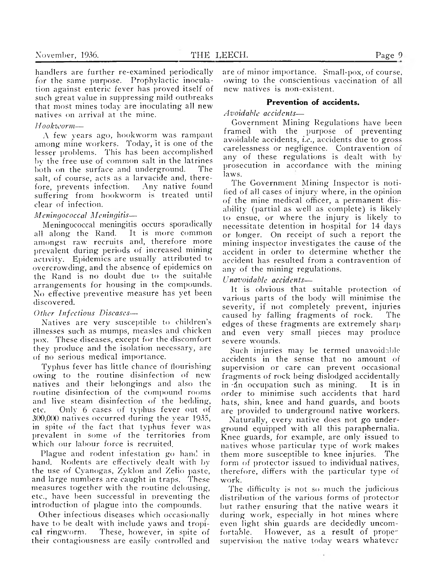handlers are further re-examined periodically for the same purpose. Prophylactic inoculation against enteric fever has proved itself of such great value in suppressing mild outbreaks that most mines today are inoculating all new natives on arrival at the mine.

#### *H ookw orm* —

A few years ago, hookworm was rampant among mine workers. Today, it is one of the lesser problems. This has been accomplished by the free use of common salt in the latrines both on the surface and underground. The salt, of course, acts as a larvacide and, therefore, prevents infection. Any native found suffering from hookworm is treated until clear of infection.

### *M eningococcal M eningitis*—

Meningococcal meningitis occurs sporadically all along the Rand. It is more common amongst raw recruits and, therefore more prevalent during periods of increased mining activity. Epidemics are usually attributed to overcrowding, and the absence of epidemics on the Rand is no doubt due to the suitable arrangements for housing in the compounds. No effective preventive measure has yet been discovered.

### *Other Infectious Diseases—*

Natives are very susceptible to children's illnesses such as mumps, measles and chicken pox. These diseases, except for the discomfort they produce and the isolation necessary, are of no serious medical importance.

Typhus fever has little chance of flourishing owing to the routine disinfection of new natives and their belongings and also the routine disinfection of the compound rooms and live steam disinfection of the bedding, etc. Only 6 cases of typhus fever out of 300,0(X) natives occurred during the year 1935, in spite of the fact that typhus fever was prevalent in some of the territories from which our labour force is recruited.

Plague and rodent infestation go hand in hand. Rodents are effectively dealt with by the use of Cyanogas, Zyklon and Zelio paste, and large numbers are caught in traps. These measures together with the routine delousing, etc., have been successful in preventing the introduction of plague into the compounds.

Other infectious diseases which occasionally have to be dealt with include yaws and tropical ringworm. These, however, in spite of their contagiousness are easily controlled and are of minor importance. Small-pox, of course, owing to the conscientious vaccination of all new natives is non-existent.

# **Prevention of accidents.**

*A voidable accidents*—

Government Mining Regulations have been framed with the purpose of preventing avoidable accidents, *i.e.,* accidents due to gross carelessness or negligence. Contravention of any of these regulations is dealt with by prosecution in accordance with the mining laws.

The Government Mining Inspector is notified of all cases of injury where, in the opinion of the mine medical officer, a permanent disability (partial as well as complete) is likely to ensue, or where the injury is likely to necessitate detention in hospital for 14 days or longer. On receipt of such a report the mining inspector investigates the cause of the accident in order to determine whether the accident has resulted from a contravention of any of the mining regulations.

*Unavoidable accidents*—

It is obvious that suitable protection of various parts of the body will minimise the severity, if not completely prevent, injuries caused by falling fragments of rock. The edges of these fragments are extremely sharp and even very small pieces may produce severe wounds.

Such injuries may be termed unavoidable accidents in the sense that no amount of supervision or care can prevent occasional fragments of rock being dislodged accidentally in 'dn occupation such as mining. It is in order to minimise such accidents that hard hats, shin, knee and hand guards, and boots are provided to underground native workers.

Naturally, every native does not go underground equipped with all this paraphernalia. Knee guards, for example, are only issued to natives whose particular type of work makes them more susceptible to knee injuries. The form of protector issued to individual natives, therefore, differs with the particular type of work.

The difficulty is not so much the judicious distribution of the various forms of protector but rather ensuring that the native wears it during work, especially in hot mines where even light shin guards are decidedly uncomfortable. However, as a result of proper supervision the native today wears whatever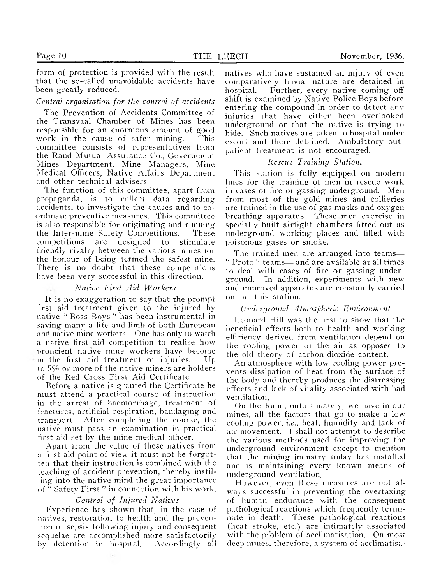form of protection is provided with the result that the so-called unavoidable accidents have been greatly reduced.

#### *Central organisation for the control of accidents*

The Prevention of Accidents Committee of the Transvaal Chamber of Mines has been responsible for an enormous amount of good work in the cause of safer mining. committee consists of representatives from the Rand Mutual Assurance Co., Government Mines Department, Mine Managers, Mine Medical Officers, Native Affairs Department and other technical advisers.

The function of this committee, apart from propaganda, is to collect data regarding accidents, to investigate the causes and to coordinate preventive measures. This committee is also responsible for originating and running the Inter-mine Safety Competitions. These competitions are designed to stimulate friendly rivalry between the various mines for the honour of being termed the safest mine. There is no doubt that these competitions have been very successful in this direction.

### *N ative First A id W orkers*

It is no exaggeration to say that the prompt first aid treatment given to the injured by native *"* Boss Boys " has been instrumental in saving many a life and limb of both European and native mine workers. One has only to watch a native first aid competition to realise how proficient native mine workers have become  $+i$ n the first aid treatment of injuries. Up to 5% or more of the native miners are holders of the Red Cross First Aid Certificate.

Before a native is granted the Certificate he must attend a practical course of instruction in the arrest of haemorrhage, treatment of fractures, artificial respiration, bandaging and transport. After completing the course, the native must pass an examination in practical first aid set by the mine medical officer.

Apart from the value of these natives from a first aid point of view it must not be forgotten that their instruction is combined with the teaching of accident prevention, thereby instilling into the native mind the great importance of " Safety First " in connection with his work.

#### *Control of Injured Natives*

Experience has shown that, in the case of natives, restoration to health and the prevention of sepsis following injury and consequent sequelae are accomplished more satisfactorily by detention in hospital. Accordingly all natives who have sustained an injury of even comparatively trivial nature are detained in hospital. Further, every native coming off shift is examined by Native Police Boys before entering the compound in order to detect any injuries that have either been overlooked underground or that the native is trying to hide. Such natives are taken to hospital under escort and there detained. Ambulatory outpatient treatment is not encouraged.

#### *R escue Training Station*.

This station is fully equipped on modern lines for the training of men in rescue work in cases of fire or gassing underground. Men from most of the gold mines and collieries are trained in the use of gas masks and oxygen breathing apparatus. These men exercise in specially built airtight chambers fitted out as underground working places and filled with poisonous gases or smoke.

The trained men are arranged into teams— " Proto " teams— and are available at all times to deal with cases of fire or gassing underground. In addition, experiments with new and improved apparatus are constantly carried out at this station.

#### *U nderground A tm ospheric Environm ent*

Leonard Hill was the first to show that the beneficial effects both to health and working efficiency derived from ventilation depend on the cooling power of the air as opposed to the old theory of carbon-dioxide content.

An atmosphere with low cooling power prevents dissipation of heat from the surface of the body and thereby produces the distressing effects and lack of vitality associated with bad ventilation,

On the Rand, unfortunately, we have in our mines, all the factors that go to make a low cooling power, *i.e.,* heat, humidity and lack of air movement. I shall not attempt to describe the various methods used for improving the underground environment except to mention that the mining industry today has installed and is maintaining every known means of underground ventilation.

However, even these measures are not always successful in preventing the overtaxing of human endurance with the consequent pathological reactions which frequently terminate in death. These pathological reactions (heat stroke, etc.) are intimately associated with the problem of acclimatisation. On most deep mines, therefore, a system of acclimatisa